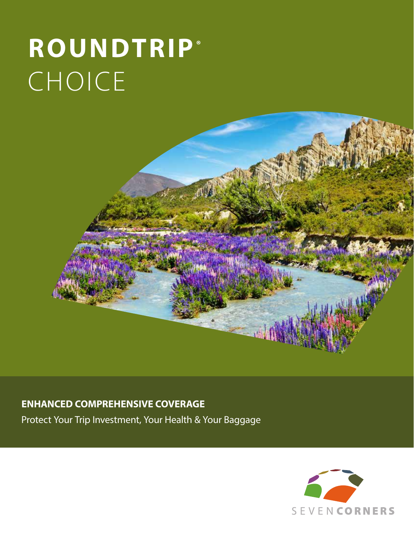# **ROUNDTRIP®**  CHOICE



## **ENHANCED COMPREHENSIVE COVERAGE**

Protect Your Trip Investment, Your Health & Your Baggage

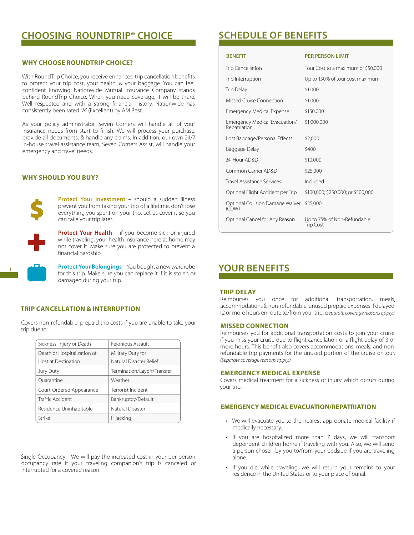## **CHOOSING ROUNDTRIP® CHOICE SCHEDULE OF BENEFITS**

## **WHY CHOOSE ROUNDTRIP CHOICE?**

With RoundTrip Choice, you receive enhanced trip cancellation benefits to protect your trip cost, your health, & your baggage. You can feel confident knowing Nationwide Mutual Insurance Company stands behind RoundTrip Choice. When you need coverage, it will be there. Well respected and with a strong financial history, Nationwide has consistently been rated "A" (Excellent) by AM Best.

As your policy administrator, Seven Corners will handle all of your insurance needs from start to finish. We will process your purchase, provide all documents, & handle any claims. In addition, our own 24/7 in-house travel assistance team, Seven Corners Assist, will handle your emergency and travel needs.

## **WHY SHOULD YOU BUY?**



**Protect Your Investment** – should a sudden illness prevent you from taking your trip of a lifetime, don't lose everything you spent on your trip. Let us cover it so you can take your trip later.

**Protect Your Health** – if you become sick or injured while traveling, your health insurance here at home may not cover it. Make sure you are protected to prevent a financial hardship.

**Protect Your Belongings** – You bought a new wardrobe for this trip. Make sure you can replace it if it is stolen or damaged during your trip.

## **TRIP CANCELLATION & INTERRUPTION**

Covers non-refundable, prepaid trip costs if you are unable to take your trip due to:

| Sickness, Injury or Death   | Felonious Assault           |
|-----------------------------|-----------------------------|
| Death or Hospitalization of | Military Duty for           |
| Host at Destination         | Natural Disaster Relief     |
| Jury Duty                   | Termination/Layoff/Transfer |
| Ouarantine                  | Weather                     |
| Court-Ordered Appearance    | Terrorist Incident          |
| Traffic Accident            | Bankruptcy/Default          |
| Residence Uninhabitable     | Natural Disaster            |
| Strike                      | Hijacking                   |

Single Occupancy - We will pay the increased cost in your per person occupancy rate if your traveling companion's trip is canceled or interrupted for a covered reason.

## **BENEFIT PER PERSON LIMIT** Trip Cancellation Tour Cost to a maximum of \$50,000 Trip Interruption Up to 150% of tour cost maximum  $\frac{1}{2}$ Trip Delay  $\frac{1}{2}$

| $\cdots \sim$ $\sim$ $\sim$ $\cdots$          |                                                 |
|-----------------------------------------------|-------------------------------------------------|
| Missed Cruise Connection                      | \$1,000                                         |
| <b>Emergency Medical Expense</b>              | \$150,000                                       |
| Emergency Medical Evacuation/<br>Repatriation | \$1,000,000                                     |
| Lost Baggage/Personal Effects                 | \$2,000                                         |
| Baggage Delay                                 | \$400                                           |
| 24-Hour AD&D                                  | \$10,000                                        |
| Common Carrier AD&D                           | \$25,000                                        |
| Travel Assistance Services                    | Included                                        |
| Optional Flight Accident per Trip             | \$100,000; \$250,000; or \$500,000              |
| Optional Collision Damage Waiver<br>(CDW)     | \$35,000                                        |
| Optional Cancel for Any Reason                | Up to 75% of Non-Refundable<br><b>Trip Cost</b> |

## **YOUR BENEFITS**

#### **TRIP DELAY**

Reimburses you once for additional transportation, meals, accommodations & non-refundable, unused prepaid expenses if delayed 12 or more hours en route to/from your trip. *(Separate coverage reasons apply.)*

#### **MISSED CONNECTION**

Reimburses you for additional transportation costs to join your cruise if you miss your cruise due to flight cancellation or a flight delay of 3 or more hours. This benefit also covers accommodations, meals, and nonrefundable trip payments for the unused portion of the cruise or tour. *(Separate coverage reasons apply.)* 

## **EMERGENCY MEDICAL EXPENSE**

Covers medical treatment for a sickness or injury which occurs during your trip.

## **EMERGENCY MEDICAL EVACUATION/REPATRIATION**

- We will evacuate you to the nearest appropriate medical facility if medically necessary.
- If you are hospitalized more than 7 days, we will transport dependent children home if traveling with you. Also, we will send a person chosen by you to/from your bedside if you are traveling alone.
- If you die while traveling, we will return your remains to your residence in the United States or to your place of burial.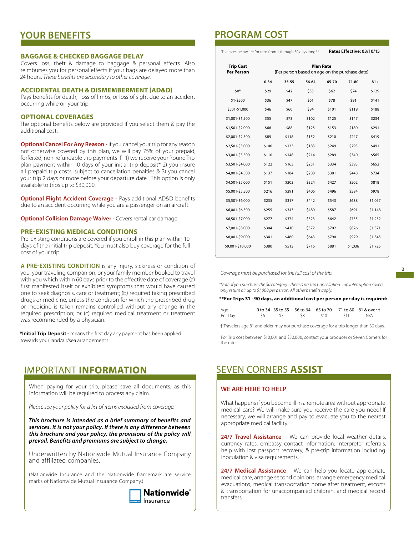## **YOUR BENEFITS**

### **BAGGAGE & CHECKED BAGGAGE DELAY**

Covers loss, theft & damage to baggage & personal effects. Also reimburses you for personal effects if your bags are delayed more than 24 hours. *These benefits are secondary to other coverage.*

## **ACCIDENTAL DEATH & DISMEMBERMENT (AD&D)**

Pays benefits for death, loss of limbs, or loss of sight due to an accident occurring while on your trip.

#### **OPTIONAL COVERAGES**

The optional benefits below are provided if you select them & pay the additional cost.

**Optional Cancel For Any Reason - If you cancel your trip for any reason** not otherwise covered by this plan, we will pay 75% of your prepaid, forfeited, non-refundable trip payments if: 1) we receive your RoundTrip plan payment within 10 days of your initial trip deposit\* 2) you insure all prepaid trip costs, subject to cancellation penalties & 3) you cancel your trip 2 days or more before your departure date. This option is only available to trips up to \$30,000.

**Optional Flight Accident Coverage -** Pays additional AD&D benefits due to an accident occurring while you are a passenger on an aircraft.

**Optional Collision Damage Waiver -** Covers rental car damage.

#### **PRE-EXISTING MEDICAL CONDITIONS**

Pre-existing conditions are covered if you enroll in this plan within 10 days of the initial trip deposit. You must also buy coverage for the full cost of your trip.

**A PRE-EXISTING CONDITION** is any injury, sickness or condition of you, your traveling companion, or your family member booked to travel with you which within 60 days prior to the effective date of coverage (a) first manifested itself or exhibited symptoms that would have caused one to seek diagnosis, care or treatment; (b) required taking prescribed drugs or medicine, unless the condition for which the prescribed drug or medicine is taken remains controlled without any change in the required prescription; or (c) required medical treatment or treatment was recommended by a physician.

**\*Initial Trip Deposit** - means the first day any payment has been applied towards your land/air/sea arrangements.

## IMPORTANT **INFORMATION**

When paying for your trip, please save all documents, as this information will be required to process any claim.

*Please see your policy for a list of items excluded from coverage.*

*This brochure is intended as a brief summary of benefits and services. It is not your policy. If there is any difference between this brochure and your policy, the provisions of the policy will prevail. Benefits and premiums are subject to change.*

Underwritten by Nationwide Mutual Insurance Company and affiliated companies.

(Nationwide Insurance and the Nationwide framemark are service marks of Nationwide Mutual Insurance Company.)



## **PROGRAM COST**

The rates below are for trips from 1 through 30 days long.\*\* **Rates Effective: 03/10/15**

| <b>Trip Cost</b><br><b>Per Person</b> | <b>Plan Rate</b><br>(Per person based on age on the purchase date) |           |       |       |           |         |
|---------------------------------------|--------------------------------------------------------------------|-----------|-------|-------|-----------|---------|
|                                       | $0 - 34$                                                           | $35 - 55$ | 56-64 | 65-70 | $71 - 80$ | $81 +$  |
| $50*$                                 | \$29                                                               | \$42      | \$53  | \$62  | \$74      | \$129   |
| \$1-\$500                             | \$36                                                               | \$47      | \$61  | \$78  | \$91      | \$141   |
| \$501-\$1,000                         | \$46                                                               | \$60      | \$84  | \$101 | \$119     | \$188   |
| \$1,001-\$1,500                       | \$55                                                               | \$73      | \$102 | \$125 | \$147     | \$234   |
| \$1,501-\$2,000                       | \$66                                                               | \$88      | \$125 | \$153 | \$180     | \$291   |
| \$2,001-\$2,500                       | \$89                                                               | \$118     | \$152 | \$210 | \$247     | \$419   |
| \$2,501-\$3,000                       | \$100                                                              | \$133     | \$183 | \$249 | \$293     | \$491   |
| \$3,001-\$3,500                       | \$110                                                              | \$148     | \$214 | \$289 | \$340     | \$565   |
| \$3,501-\$4,000                       | \$122                                                              | \$163     | \$251 | \$334 | \$393     | \$652   |
| \$4,001-\$4,500                       | \$137                                                              | \$184     | \$288 | \$381 | \$448     | \$734   |
| \$4,501-\$5,000                       | \$151                                                              | \$203     | \$324 | \$427 | \$502     | \$818   |
| \$5,001-\$5,500                       | \$216                                                              | \$291     | \$406 | \$496 | \$584     | \$978   |
| \$5,501-\$6,000                       | \$235                                                              | \$317     | \$442 | \$543 | \$638     | \$1,057 |
| \$6,001-\$6,500                       | \$255                                                              | \$343     | \$480 | \$587 | \$691     | \$1,148 |
| \$6,501-\$7,000                       | \$277                                                              | \$374     | \$523 | \$642 | \$755     | \$1,252 |
| \$7,001-\$8,000                       | \$304                                                              | \$410     | \$572 | \$702 | \$826     | \$1,371 |
| \$8,001-\$9,000                       | \$341                                                              | \$460     | \$643 | \$790 | \$929     | \$1,545 |
| \$9,001-\$10,000                      | \$380                                                              | \$513     | \$716 | \$881 | \$1,036   | \$1,725 |

*Coverage must be purchased for the full cost of the trip.*

*\*Note: If you purchase the \$0 category - there is no Trip Cancellation. Trip Interruption covers only return air up to \$1,000 per person. All other benefits apply.*

**\*\*For Trips 31 - 90 days, an additional cost per person per day is required:**

| Age     |  |                      | 0 to 34 35 to 55 56 to 64 65 to 70 71 to 80 81 & over t |
|---------|--|----------------------|---------------------------------------------------------|
| Per Day |  | S6 S7 S8 S10 S11 N/A |                                                         |

† Travelers age 81 and older may not purchase coverage for a trip longer than 30 days.

For Trip cost between \$10,001 and \$50,000, contact your producer or Seven Corners for the rate.

## SEVEN CORNERS **ASSIST**

## **WE ARE HERE TO HELP**

What happens if you become ill in a remote area without appropriate medical care? We will make sure you receive the care you need! If necessary, we will arrange and pay to evacuate you to the nearest appropriate medical facility.

**24/7 Travel Assistance** – We can provide local weather details, currency rates, embassy contact information, interpreter referrals, help with lost passport recovery, & pre-trip information including inoculation & visa requirements.

**24/7 Medical Assistance** – We can help you locate appropriate medical care, arrange second opinions, arrange emergency medical evacuations, medical transportation home after treatment, escorts & transportation for unaccompanied children, and medical record transfers.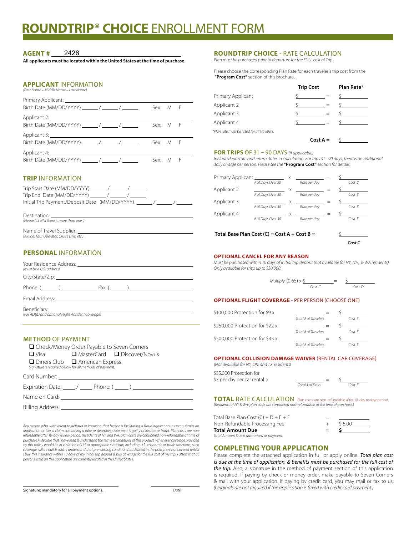## **ROUNDTRIP**® **CHOICE** ENROLLMENT FORM

#### **AGENT #** 2426

**All applicants must be located within the United States at the time of purchase.** 

## **APPLICANT** INFORMATION

*(First Name – Middle Name – Last Name)*

|                               | Sex: M F |  |
|-------------------------------|----------|--|
|                               |          |  |
| Birth Date (MM/DD/YYYY) / / / | Sex: M F |  |
|                               |          |  |
| Birth Date (MM/DD/YYYY) / / / | Sex: M F |  |
|                               |          |  |
| Birth Date (MM/DD/YYYY) / / / | Sex: M F |  |

## **TRIP** INFORMATION

| Trip Start Date (MM/DD/YYYY) / / /<br>Trip End Date (MM/DD/YYYY) / / /<br>Initial Trip Payment/Deposit Date (MM/DD/YYYY) / |  |
|----------------------------------------------------------------------------------------------------------------------------|--|
| Destination:                                                                                                               |  |

*(Please list all if there is more than one. )* Name of Travel Supplier:

*(Airline, Tour Operator, Cruise Line, etc.)*

## **PERSONAL** INFORMATION

| (must be a U.S. address)                                                                                                                                                                                                       |
|--------------------------------------------------------------------------------------------------------------------------------------------------------------------------------------------------------------------------------|
|                                                                                                                                                                                                                                |
| Phone: $\left( \begin{array}{ccc} & & \end{array} \right)$ Fax: $\left( \begin{array}{ccc} & \end{array} \right)$                                                                                                              |
| Email Address: North American State of the American State of the American State of the American State of the American State of the American State of the American State of the American State of the American State of the Ame |
| (For AD&D and optional Flight Accident Coverage)                                                                                                                                                                               |

## **METHOD** OF PAYMENT

| □ Check/Money Order Payable to Seven Corners            |                                            |                               |
|---------------------------------------------------------|--------------------------------------------|-------------------------------|
| $\Box$ Visa                                             |                                            | ■ MasterCard ■ Discover/Novus |
| Signature is required below for all methods of payment. | $\Box$ Diners Club $\Box$ American Express |                               |
| Card Number: The Card Number:                           |                                            |                               |
| Expiration Date: _____ / _____ Phone: ( _____ )         |                                            |                               |
| Name on Card: Name on Sarah                             |                                            |                               |

Billing Address:

 $\overline{a}$ 

 *Any person who, with intent to defraud or knowing that he/she is facilitating a fraud against an Insurer, submits an*  application or files a claim containing a false or deceptive statement is guilty of insurance fraud. Plan costs are non-<br>refundable after 10-day review period. (Residents of NY and WA: plan costs are considered non-refunda *purchase.) I declare that I have read & understand the terms & conditions of this product. Whenever coverage provided*  by this policy would be in violation of U.S or appropriate state law, including U.S. economic or trade sanctions, such<br>coverage will be null & void. I understand that pre-existing conditions, as defined in the policy, are *I buy this insurance within 10 days of my initial trip deposit & buy coverage for the full cost of my trip. I attest that all persons listed on this application are currently located in the United States.*

Signature: mandatory for all payment options. *Date*

### **ROUNDTRIP CHOICE** - RATE CALCULATION

*Plan must be purchased prior to departure for the FULL cost of Trip.* 

Please choose the corresponding Plan Rate for each traveler's trip cost from the **"Program Cost"** section of this brochure.

|                                              | <b>Trip Cost</b> | Plan Rate* |
|----------------------------------------------|------------------|------------|
| Primary Applicant                            |                  |            |
| Applicant 2                                  |                  |            |
| Applicant 3                                  |                  |            |
| Applicant 4                                  |                  |            |
| *Plan rate must be listed for all travelers. |                  |            |
|                                              | $Cost A =$       |            |

#### **FOR TRIPS** OF 31 – 90 DAYS *(if applicable)*

*Include departure and return dates in calculation. For trips 31 - 90 days, there is an additional daily charge per person. Please see the* **"Program Cost"** *section for details.*

| Primary Applicant |                   | X |              |  |       |
|-------------------|-------------------|---|--------------|--|-------|
|                   | # of Days Over 30 |   | Rate per day |  | CostB |
| Applicant 2       |                   | X |              |  |       |
|                   | # of Days Over 30 |   | Rate per day |  | CostB |
| Applicant 3       |                   | X |              |  |       |
|                   | # of Days Over 30 |   | Rate per day |  | CostB |
| Applicant 4       |                   | X |              |  |       |
|                   | # of Days Over 30 |   | Rate per day |  | CostB |
|                   |                   |   |              |  |       |
|                   |                   |   |              |  |       |

**Total Base Plan Cost (C) = Cost A + Cost B =** \$

 *Cost C*

#### **OPTIONAL CANCEL FOR ANY REASON**

*Must be purchased within 10 days of initial trip deposit (not available for NY, NH, & WA residents). Only available for trips up to \$30,000.*

| Multiply $(0.65) \times$ \$ |        | $\overline{\phantom{a}}$ |        |
|-----------------------------|--------|--------------------------|--------|
|                             | Cost ( |                          | Cost D |

### **OPTIONAL FLIGHT COVERAGE -** PER PERSON (CHOOSE ONE)

| \$100,000 Protection for \$9 x  |                      |        |
|---------------------------------|----------------------|--------|
|                                 | Total # of Travelers | CostF  |
| \$250,000 Protection for \$22 x |                      |        |
|                                 | Total # of Travelers | CostF  |
| \$500,000 Protection for \$45 x |                      |        |
|                                 | Total # of Travelers | Cost F |

#### **OPTIONAL COLLISION DAMAGE WAIVER** (RENTAL CAR COVERAGE)

*(Not available for NY, OR, and TX residents)* \$35,000 Protection for \$7 per day per car rental x

| of Days |  | Cost |
|---------|--|------|

**TOTAL** RATE CALCULATION Plan costs are non-refundable after 10-day review period. *(Residents of NY & WA: plan costs are considered non-refundable at the time of purchase.)* 

*Total # of Days Cost F*

| Total Base Plan Cost (C) + $D + E + F$     |     |         |  |
|--------------------------------------------|-----|---------|--|
| Non-Refundable Processing Fee              |     | \$ 5.00 |  |
| Total Amount Due                           | $=$ |         |  |
| Total Amount Due is authorized as payment. |     |         |  |

## **COMPLETING YOUR APPLICATION**

Please complete the attached application in full or apply online. *Total plan cost is due at the time of application, & benefits must be purchased for the full cost of the trip.* Also, a signature in the method of payment section of this application is required. If paying by check or money order, make payable to Seven Corners & mail with your application. If paying by credit card, you may mail or fax to us. *(Originals are not required if the application is faxed with credit card payment.)*